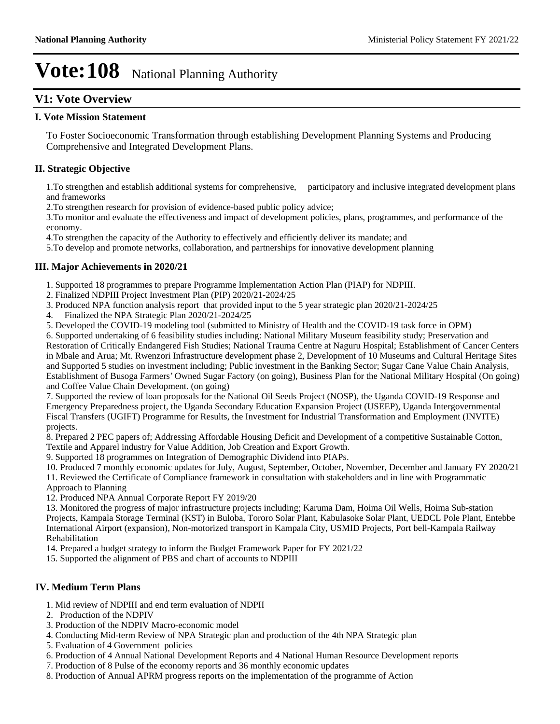## **V1: Vote Overview**

#### **I. Vote Mission Statement**

To Foster Socioeconomic Transformation through establishing Development Planning Systems and Producing Comprehensive and Integrated Development Plans.

#### **II. Strategic Objective**

1.To strengthen and establish additional systems for comprehensive, participatory and inclusive integrated development plans and frameworks

2.To strengthen research for provision of evidence-based public policy advice;

3.To monitor and evaluate the effectiveness and impact of development policies, plans, programmes, and performance of the economy.

4.To strengthen the capacity of the Authority to effectively and efficiently deliver its mandate; and

5.To develop and promote networks, collaboration, and partnerships for innovative development planning

#### **III. Major Achievements in 2020/21**

1. Supported 18 programmes to prepare Programme Implementation Action Plan (PIAP) for NDPIII.

2. Finalized NDPIII Project Investment Plan (PIP) 2020/21-2024/25

3. Produced NPA function analysis report that provided input to the 5 year strategic plan 2020/21-2024/25

4. Finalized the NPA Strategic Plan 2020/21-2024/25

5. Developed the COVID-19 modeling tool (submitted to Ministry of Health and the COVID-19 task force in OPM)

6. Supported undertaking of 6 feasibility studies including: National Military Museum feasibility study; Preservation and Restoration of Critically Endangered Fish Studies; National Trauma Centre at Naguru Hospital; Establishment of Cancer Centers in Mbale and Arua; Mt. Rwenzori Infrastructure development phase 2, Development of 10 Museums and Cultural Heritage Sites and Supported 5 studies on investment including; Public investment in the Banking Sector; Sugar Cane Value Chain Analysis, Establishment of Busoga Farmers' Owned Sugar Factory (on going), Business Plan for the National Military Hospital (On going) and Coffee Value Chain Development. (on going)

7. Supported the review of loan proposals for the National Oil Seeds Project (NOSP), the Uganda COVID-19 Response and Emergency Preparedness project, the Uganda Secondary Education Expansion Project (USEEP), Uganda Intergovernmental Fiscal Transfers (UGIFT) Programme for Results, the Investment for Industrial Transformation and Employment (INVITE) projects.

8. Prepared 2 PEC papers of; Addressing Affordable Housing Deficit and Development of a competitive Sustainable Cotton, Textile and Apparel industry for Value Addition, Job Creation and Export Growth.

9. Supported 18 programmes on Integration of Demographic Dividend into PIAPs.

10. Produced 7 monthly economic updates for July, August, September, October, November, December and January FY 2020/21

11. Reviewed the Certificate of Compliance framework in consultation with stakeholders and in line with Programmatic Approach to Planning

12. Produced NPA Annual Corporate Report FY 2019/20

13. Monitored the progress of major infrastructure projects including; Karuma Dam, Hoima Oil Wells, Hoima Sub-station Projects, Kampala Storage Terminal (KST) in Buloba, Tororo Solar Plant, Kabulasoke Solar Plant, UEDCL Pole Plant, Entebbe International Airport (expansion), Non-motorized transport in Kampala City, USMID Projects, Port bell-Kampala Railway Rehabilitation

14. Prepared a budget strategy to inform the Budget Framework Paper for FY 2021/22

15. Supported the alignment of PBS and chart of accounts to NDPIII

#### **IV. Medium Term Plans**

1. Mid review of NDPIII and end term evaluation of NDPII

- 2. Production of the NDPIV
- 3. Production of the NDPIV Macro-economic model
- 4. Conducting Mid-term Review of NPA Strategic plan and production of the 4th NPA Strategic plan
- 5. Evaluation of 4 Government policies
- 6. Production of 4 Annual National Development Reports and 4 National Human Resource Development reports
- 7. Production of 8 Pulse of the economy reports and 36 monthly economic updates
- 8. Production of Annual APRM progress reports on the implementation of the programme of Action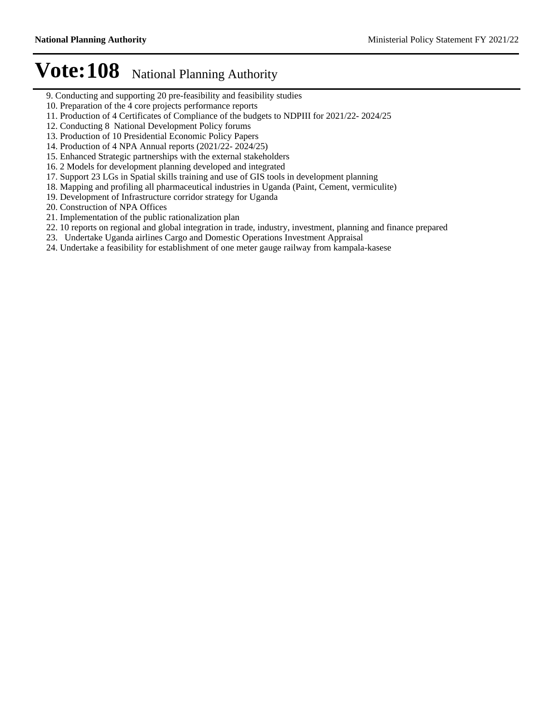- 9. Conducting and supporting 20 pre-feasibility and feasibility studies
- 10. Preparation of the 4 core projects performance reports
- 11. Production of 4 Certificates of Compliance of the budgets to NDPIII for 2021/22- 2024/25
- 12. Conducting 8 National Development Policy forums
- 13. Production of 10 Presidential Economic Policy Papers
- 14. Production of 4 NPA Annual reports (2021/22- 2024/25)
- 15. Enhanced Strategic partnerships with the external stakeholders
- 16. 2 Models for development planning developed and integrated
- 17. Support 23 LGs in Spatial skills training and use of GIS tools in development planning
- 18. Mapping and profiling all pharmaceutical industries in Uganda (Paint, Cement, vermiculite)
- 19. Development of Infrastructure corridor strategy for Uganda
- 20. Construction of NPA Offices
- 21. Implementation of the public rationalization plan
- 22. 10 reports on regional and global integration in trade, industry, investment, planning and finance prepared
- 23. Undertake Uganda airlines Cargo and Domestic Operations Investment Appraisal
- 24. Undertake a feasibility for establishment of one meter gauge railway from kampala-kasese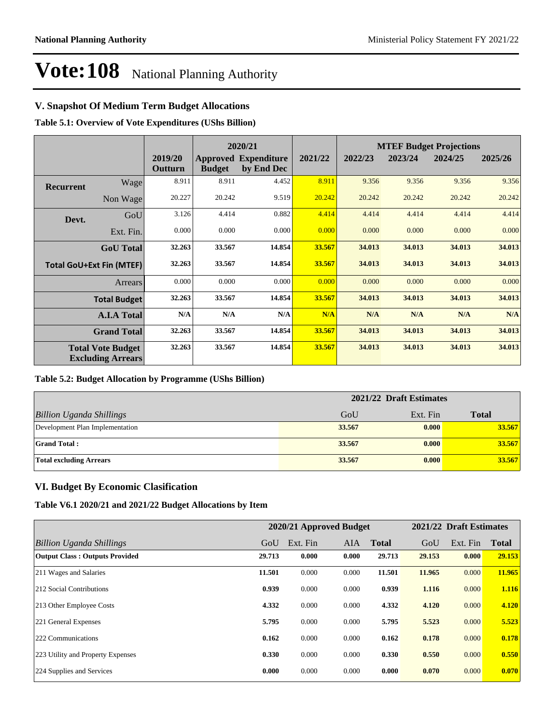### **V. Snapshot Of Medium Term Budget Allocations**

**Table 5.1: Overview of Vote Expenditures (UShs Billion)**

|                  |                                                      |                    |               | 2020/21                                   |         |         |         | <b>MTEF Budget Projections</b> |         |
|------------------|------------------------------------------------------|--------------------|---------------|-------------------------------------------|---------|---------|---------|--------------------------------|---------|
|                  |                                                      | 2019/20<br>Outturn | <b>Budget</b> | <b>Approved Expenditure</b><br>by End Dec | 2021/22 | 2022/23 | 2023/24 | 2024/25                        | 2025/26 |
| <b>Recurrent</b> | Wage                                                 | 8.911              | 8.911         | 4.452                                     | 8.911   | 9.356   | 9.356   | 9.356                          | 9.356   |
|                  | Non Wage                                             | 20.227             | 20.242        | 9.519                                     | 20.242  | 20.242  | 20.242  | 20.242                         | 20.242  |
| Devt.            | GoU                                                  | 3.126              | 4.414         | 0.882                                     | 4.414   | 4.414   | 4.414   | 4.414                          | 4.414   |
|                  | Ext. Fin.                                            | 0.000              | 0.000         | 0.000                                     | 0.000   | 0.000   | 0.000   | 0.000                          | 0.000   |
|                  | <b>GoU</b> Total                                     | 32.263             | 33.567        | 14.854                                    | 33.567  | 34.013  | 34.013  | 34.013                         | 34.013  |
|                  | <b>Total GoU+Ext Fin (MTEF)</b>                      | 32.263             | 33.567        | 14.854                                    | 33.567  | 34.013  | 34.013  | 34.013                         | 34.013  |
|                  | Arrears                                              | 0.000              | 0.000         | 0.000                                     | 0.000   | 0.000   | 0.000   | 0.000                          | 0.000   |
|                  | <b>Total Budget</b>                                  | 32.263             | 33.567        | 14.854                                    | 33.567  | 34.013  | 34.013  | 34.013                         | 34.013  |
|                  | <b>A.I.A Total</b>                                   | N/A                | N/A           | N/A                                       | N/A     | N/A     | N/A     | N/A                            | N/A     |
|                  | <b>Grand Total</b>                                   | 32.263             | 33.567        | 14.854                                    | 33.567  | 34.013  | 34.013  | 34.013                         | 34.013  |
|                  | <b>Total Vote Budget</b><br><b>Excluding Arrears</b> | 32.263             | 33.567        | 14.854                                    | 33.567  | 34.013  | 34.013  | 34.013                         | 34.013  |

#### **Table 5.2: Budget Allocation by Programme (UShs Billion)**

|                                 | 2021/22 Draft Estimates |          |              |
|---------------------------------|-------------------------|----------|--------------|
| <b>Billion Uganda Shillings</b> | GoU                     | Ext. Fin | <b>Total</b> |
| Development Plan Implementation | 33.567                  | 0.000    | 33.567       |
| <b>Grand Total:</b>             | 33.567                  | 0.000    | 33.567       |
| <b>Total excluding Arrears</b>  | 33.567                  | 0.000    | 33.567       |

#### **VI. Budget By Economic Clasification**

**Table V6.1 2020/21 and 2021/22 Budget Allocations by Item**

|                                       |        | 2020/21 Approved Budget |       |              |        | 2021/22 Draft Estimates |              |
|---------------------------------------|--------|-------------------------|-------|--------------|--------|-------------------------|--------------|
| Billion Uganda Shillings              | GoU    | Ext. Fin                | AIA   | <b>Total</b> | GoU    | Ext. Fin                | <b>Total</b> |
| <b>Output Class: Outputs Provided</b> | 29.713 | 0.000                   | 0.000 | 29.713       | 29.153 | 0.000                   | 29.153       |
| 211 Wages and Salaries                | 11.501 | 0.000                   | 0.000 | 11.501       | 11.965 | 0.000                   | 11.965       |
| 212 Social Contributions              | 0.939  | 0.000                   | 0.000 | 0.939        | 1.116  | 0.000                   | 1.116        |
| 213 Other Employee Costs              | 4.332  | 0.000                   | 0.000 | 4.332        | 4.120  | 0.000                   | 4.120        |
| 221 General Expenses                  | 5.795  | 0.000                   | 0.000 | 5.795        | 5.523  | 0.000                   | 5.523        |
| 222 Communications                    | 0.162  | 0.000                   | 0.000 | 0.162        | 0.178  | 0.000                   | 0.178        |
| 223 Utility and Property Expenses     | 0.330  | 0.000                   | 0.000 | 0.330        | 0.550  | 0.000                   | 0.550        |
| 224 Supplies and Services             | 0.000  | 0.000                   | 0.000 | 0.000        | 0.070  | 0.000                   | 0.070        |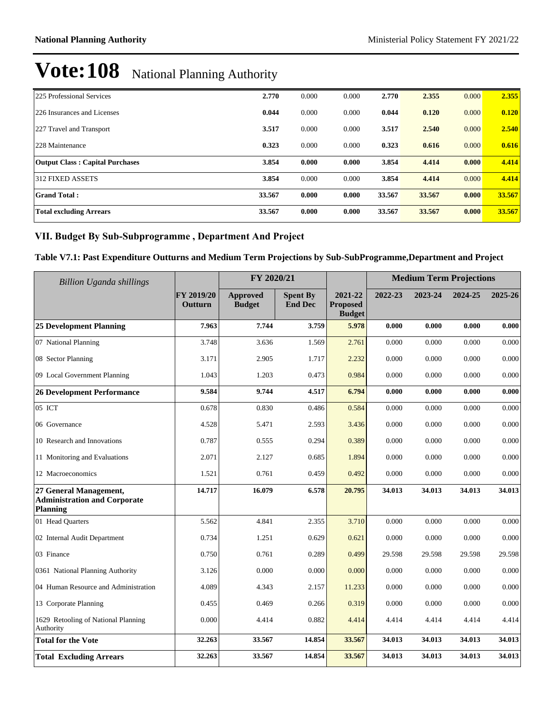| 225 Professional Services              | 2.770  | 0.000 | 0.000 | 2.770  | 2.355  | 0.000 | 2.355  |
|----------------------------------------|--------|-------|-------|--------|--------|-------|--------|
| 226 Insurances and Licenses            | 0.044  | 0.000 | 0.000 | 0.044  | 0.120  | 0.000 | 0.120  |
| 227 Travel and Transport               | 3.517  | 0.000 | 0.000 | 3.517  | 2.540  | 0.000 | 2.540  |
| 228 Maintenance                        | 0.323  | 0.000 | 0.000 | 0.323  | 0.616  | 0.000 | 0.616  |
| <b>Output Class: Capital Purchases</b> | 3.854  | 0.000 | 0.000 | 3.854  | 4.414  | 0.000 | 4.414  |
| 312 FIXED ASSETS                       | 3.854  | 0.000 | 0.000 | 3.854  | 4.414  | 0.000 | 4.414  |
| <b>Grand Total:</b>                    | 33.567 | 0.000 | 0.000 | 33.567 | 33.567 | 0.000 | 33.567 |
| <b>Total excluding Arrears</b>         | 33.567 | 0.000 | 0.000 | 33.567 | 33.567 | 0.000 | 33.567 |

## VII. Budget By Sub-Subprogramme, Department And Project

## **Table V7.1: Past Expenditure Outturns and Medium Term Projections by Sub-SubProgramme,Department and Project**

| <b>Billion Uganda shillings</b>                                                  |                       | FY 2020/21                       |                                   |                                             |         | <b>Medium Term Projections</b> |         |         |
|----------------------------------------------------------------------------------|-----------------------|----------------------------------|-----------------------------------|---------------------------------------------|---------|--------------------------------|---------|---------|
|                                                                                  | FY 2019/20<br>Outturn | <b>Approved</b><br><b>Budget</b> | <b>Spent By</b><br><b>End Dec</b> | 2021-22<br><b>Proposed</b><br><b>Budget</b> | 2022-23 | 2023-24                        | 2024-25 | 2025-26 |
| <b>25 Development Planning</b>                                                   | 7.963                 | 7.744                            | 3.759                             | 5.978                                       | 0.000   | 0.000                          | 0.000   | 0.000   |
| 07 National Planning                                                             | 3.748                 | 3.636                            | 1.569                             | 2.761                                       | 0.000   | 0.000                          | 0.000   | 0.000   |
| 08 Sector Planning                                                               | 3.171                 | 2.905                            | 1.717                             | 2.232                                       | 0.000   | 0.000                          | 0.000   | 0.000   |
| 09 Local Government Planning                                                     | 1.043                 | 1.203                            | 0.473                             | 0.984                                       | 0.000   | 0.000                          | 0.000   | 0.000   |
| <b>26 Development Performance</b>                                                | 9.584                 | 9.744                            | 4.517                             | 6.794                                       | 0.000   | 0.000                          | 0.000   | 0.000   |
| 05 ICT                                                                           | 0.678                 | 0.830                            | 0.486                             | 0.584                                       | 0.000   | 0.000                          | 0.000   | 0.000   |
| 06 Governance                                                                    | 4.528                 | 5.471                            | 2.593                             | 3.436                                       | 0.000   | 0.000                          | 0.000   | 0.000   |
| 10 Research and Innovations                                                      | 0.787                 | 0.555                            | 0.294                             | 0.389                                       | 0.000   | 0.000                          | 0.000   | 0.000   |
| 11 Monitoring and Evaluations                                                    | 2.071                 | 2.127                            | 0.685                             | 1.894                                       | 0.000   | 0.000                          | 0.000   | 0.000   |
| 12 Macroeconomics                                                                | 1.521                 | 0.761                            | 0.459                             | 0.492                                       | 0.000   | 0.000                          | 0.000   | 0.000   |
| 27 General Management,<br><b>Administration and Corporate</b><br><b>Planning</b> | 14.717                | 16.079                           | 6.578                             | 20.795                                      | 34.013  | 34.013                         | 34.013  | 34.013  |
| 01 Head Quarters                                                                 | 5.562                 | 4.841                            | 2.355                             | 3.710                                       | 0.000   | 0.000                          | 0.000   | 0.000   |
| 02 Internal Audit Department                                                     | 0.734                 | 1.251                            | 0.629                             | 0.621                                       | 0.000   | 0.000                          | 0.000   | 0.000   |
| 03 Finance                                                                       | 0.750                 | 0.761                            | 0.289                             | 0.499                                       | 29.598  | 29.598                         | 29.598  | 29.598  |
| 0361 National Planning Authority                                                 | 3.126                 | 0.000                            | 0.000                             | 0.000                                       | 0.000   | 0.000                          | 0.000   | 0.000   |
| 04 Human Resource and Administration                                             | 4.089                 | 4.343                            | 2.157                             | 11.233                                      | 0.000   | 0.000                          | 0.000   | 0.000   |
| 13 Corporate Planning                                                            | 0.455                 | 0.469                            | 0.266                             | 0.319                                       | 0.000   | 0.000                          | 0.000   | 0.000   |
| 1629 Retooling of National Planning<br>Authority                                 | 0.000                 | 4.414                            | 0.882                             | 4.414                                       | 4.414   | 4.414                          | 4.414   | 4.414   |
| <b>Total for the Vote</b>                                                        | 32.263                | 33.567                           | 14.854                            | 33.567                                      | 34.013  | 34.013                         | 34.013  | 34.013  |
| <b>Total Excluding Arrears</b>                                                   | 32.263                | 33.567                           | 14.854                            | 33.567                                      | 34.013  | 34.013                         | 34.013  | 34.013  |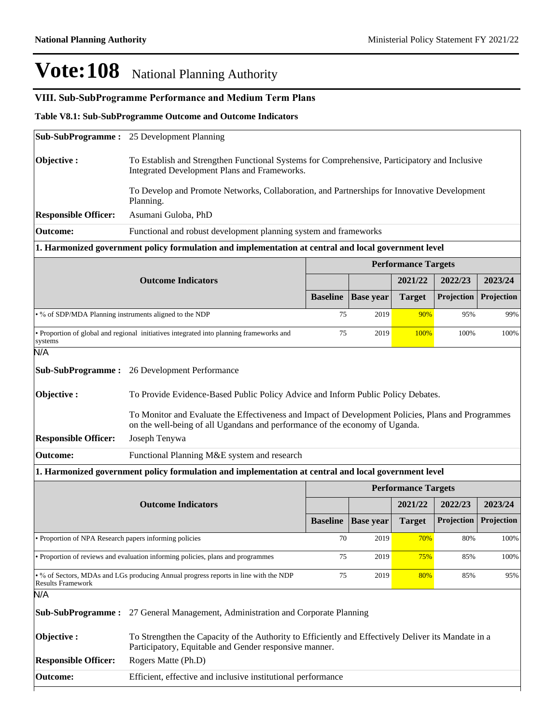## **VIII. Sub-SubProgramme Performance and Medium Term Plans**

**Table V8.1: Sub-SubProgramme Outcome and Outcome Indicators** 

|                                                        | <b>Sub-SubProgramme:</b> 25 Development Planning                                                                                                                                  |                 |                  |                                       |            |            |  |  |  |
|--------------------------------------------------------|-----------------------------------------------------------------------------------------------------------------------------------------------------------------------------------|-----------------|------------------|---------------------------------------|------------|------------|--|--|--|
| Objective:                                             | To Establish and Strengthen Functional Systems for Comprehensive, Participatory and Inclusive<br>Integrated Development Plans and Frameworks.                                     |                 |                  |                                       |            |            |  |  |  |
|                                                        | To Develop and Promote Networks, Collaboration, and Partnerships for Innovative Development<br>Planning.                                                                          |                 |                  |                                       |            |            |  |  |  |
| <b>Responsible Officer:</b>                            | Asumani Guloba, PhD                                                                                                                                                               |                 |                  |                                       |            |            |  |  |  |
| <b>Outcome:</b>                                        | Functional and robust development planning system and frameworks                                                                                                                  |                 |                  |                                       |            |            |  |  |  |
|                                                        | 1. Harmonized government policy formulation and implementation at central and local government level                                                                              |                 |                  |                                       |            |            |  |  |  |
|                                                        |                                                                                                                                                                                   |                 |                  | <b>Performance Targets</b>            |            |            |  |  |  |
|                                                        | <b>Outcome Indicators</b>                                                                                                                                                         |                 |                  | 2021/22                               | 2022/23    | 2023/24    |  |  |  |
|                                                        |                                                                                                                                                                                   | <b>Baseline</b> | <b>Base year</b> | <b>Target</b>                         | Projection | Projection |  |  |  |
| • % of SDP/MDA Planning instruments aligned to the NDP |                                                                                                                                                                                   | 75              | 2019             | 90%                                   | 95%        | 99%        |  |  |  |
| systems                                                | • Proportion of global and regional initiatives integrated into planning frameworks and                                                                                           | 75              | 2019             | 100%                                  | 100%       | 100%       |  |  |  |
| N/A                                                    |                                                                                                                                                                                   |                 |                  |                                       |            |            |  |  |  |
|                                                        |                                                                                                                                                                                   |                 |                  |                                       |            |            |  |  |  |
| <b>Sub-SubProgramme:</b>                               | 26 Development Performance                                                                                                                                                        |                 |                  |                                       |            |            |  |  |  |
| Objective:                                             | To Provide Evidence-Based Public Policy Advice and Inform Public Policy Debates.                                                                                                  |                 |                  |                                       |            |            |  |  |  |
|                                                        | To Monitor and Evaluate the Effectiveness and Impact of Development Policies, Plans and Programmes<br>on the well-being of all Ugandans and performance of the economy of Uganda. |                 |                  |                                       |            |            |  |  |  |
| <b>Responsible Officer:</b>                            | Joseph Tenywa                                                                                                                                                                     |                 |                  |                                       |            |            |  |  |  |
| <b>Outcome:</b>                                        | Functional Planning M&E system and research                                                                                                                                       |                 |                  |                                       |            |            |  |  |  |
|                                                        | 1. Harmonized government policy formulation and implementation at central and local government level                                                                              |                 |                  |                                       |            |            |  |  |  |
|                                                        | <b>Outcome Indicators</b>                                                                                                                                                         |                 |                  | <b>Performance Targets</b><br>2021/22 | 2022/23    | 2023/24    |  |  |  |
|                                                        |                                                                                                                                                                                   | <b>Baseline</b> | <b>Base year</b> | <b>Target</b>                         | Projection | Projection |  |  |  |
| • Proportion of NPA Research papers informing policies |                                                                                                                                                                                   | 70              | 2019             | <u>70%</u>                            | 80%        | 100%       |  |  |  |
|                                                        | • Proportion of reviews and evaluation informing policies, plans and programmes                                                                                                   | 75              | 2019             | 75%                                   | 85%        | 100%       |  |  |  |
| <b>Results Framework</b>                               | . % of Sectors, MDAs and LGs producing Annual progress reports in line with the NDP                                                                                               | 75              | 2019             | 80%                                   | 85%        | 95%        |  |  |  |
| N/A                                                    |                                                                                                                                                                                   |                 |                  |                                       |            |            |  |  |  |
|                                                        | <b>Sub-SubProgramme:</b> 27 General Management, Administration and Corporate Planning                                                                                             |                 |                  |                                       |            |            |  |  |  |
| Objective:                                             | To Strengthen the Capacity of the Authority to Efficiently and Effectively Deliver its Mandate in a<br>Participatory, Equitable and Gender responsive manner.                     |                 |                  |                                       |            |            |  |  |  |
| <b>Responsible Officer:</b>                            | Rogers Matte (Ph.D)                                                                                                                                                               |                 |                  |                                       |            |            |  |  |  |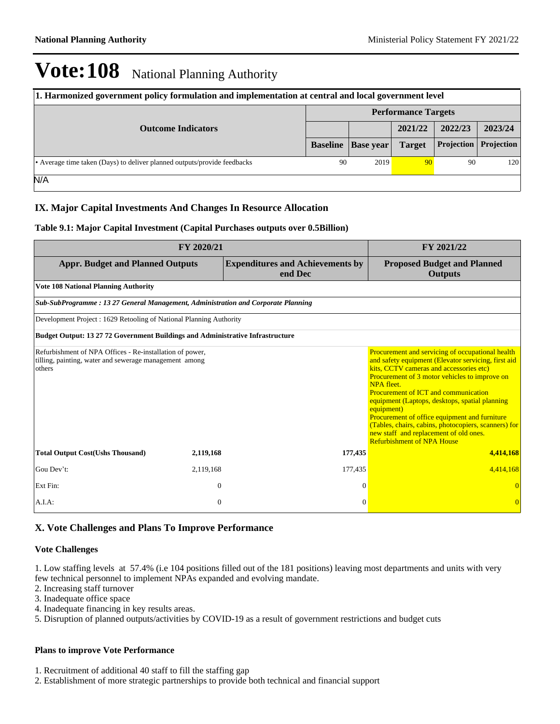| 1. Harmonized government policy formulation and implementation at central and local government level |                            |                  |               |                   |                   |  |  |
|------------------------------------------------------------------------------------------------------|----------------------------|------------------|---------------|-------------------|-------------------|--|--|
|                                                                                                      | <b>Performance Targets</b> |                  |               |                   |                   |  |  |
| <b>Outcome Indicators</b>                                                                            |                            |                  | 2021/22       | 2022/23           | 2023/24           |  |  |
|                                                                                                      | <b>Baseline</b>            | <b>Base year</b> | <b>Target</b> | <b>Projection</b> | <b>Projection</b> |  |  |
| • Average time taken (Days) to deliver planned outputs/provide feedbacks                             | 90                         | 2019             | 90            | 90                | 120               |  |  |
| N/A                                                                                                  |                            |                  |               |                   |                   |  |  |

#### **IX. Major Capital Investments And Changes In Resource Allocation**

#### **Table 9.1: Major Capital Investment (Capital Purchases outputs over 0.5Billion)**

|                                                                                                                              | FY 2021/22   |                                                    |                                                                                                                                                                                                                                                                                                                                                                                                                                                                                                                          |
|------------------------------------------------------------------------------------------------------------------------------|--------------|----------------------------------------------------|--------------------------------------------------------------------------------------------------------------------------------------------------------------------------------------------------------------------------------------------------------------------------------------------------------------------------------------------------------------------------------------------------------------------------------------------------------------------------------------------------------------------------|
| <b>Appr. Budget and Planned Outputs</b>                                                                                      |              | <b>Expenditures and Achievements by</b><br>end Dec | <b>Proposed Budget and Planned</b><br><b>Outputs</b>                                                                                                                                                                                                                                                                                                                                                                                                                                                                     |
| <b>Vote 108 National Planning Authority</b>                                                                                  |              |                                                    |                                                                                                                                                                                                                                                                                                                                                                                                                                                                                                                          |
| Sub-SubProgramme: 13 27 General Management, Administration and Corporate Planning                                            |              |                                                    |                                                                                                                                                                                                                                                                                                                                                                                                                                                                                                                          |
| Development Project: 1629 Retooling of National Planning Authority                                                           |              |                                                    |                                                                                                                                                                                                                                                                                                                                                                                                                                                                                                                          |
| <b>Budget Output: 13 27 72 Government Buildings and Administrative Infrastructure</b>                                        |              |                                                    |                                                                                                                                                                                                                                                                                                                                                                                                                                                                                                                          |
| Refurbishment of NPA Offices - Re-installation of power,<br>tilling, painting, water and sewerage management among<br>others |              |                                                    | Procurement and servicing of occupational health<br>and safety equipment (Elevator servicing, first aid<br>kits. CCTV cameras and accessories etc)<br>Procurement of 3 motor vehicles to improve on<br>NPA fleet.<br><b>Procurement of ICT and communication</b><br>equipment (Laptops, desktops, spatial planning<br>equipment)<br>Procurement of office equipment and furniture<br>(Tables, chairs, cabins, photocopiers, scanners) for<br>new staff and replacement of old ones.<br><b>Refurbishment of NPA House</b> |
| <b>Total Output Cost(Ushs Thousand)</b>                                                                                      | 2,119,168    | 177,435                                            | 4,414,168                                                                                                                                                                                                                                                                                                                                                                                                                                                                                                                |
| Gou Dev't:                                                                                                                   | 2,119,168    | 177,435                                            | 4,414,168                                                                                                                                                                                                                                                                                                                                                                                                                                                                                                                |
| Ext Fin:                                                                                                                     | $\mathbf{0}$ | $\Omega$                                           |                                                                                                                                                                                                                                                                                                                                                                                                                                                                                                                          |
| A.I.A.                                                                                                                       | $\mathbf{0}$ | $\Omega$                                           |                                                                                                                                                                                                                                                                                                                                                                                                                                                                                                                          |

### **X. Vote Challenges and Plans To Improve Performance**

#### **Vote Challenges**

1. Low staffing levels at 57.4% (i.e 104 positions filled out of the 181 positions) leaving most departments and units with very few technical personnel to implement NPAs expanded and evolving mandate.

- 2. Increasing staff turnover
- 3. Inadequate office space
- 4. Inadequate financing in key results areas.

5. Disruption of planned outputs/activities by COVID-19 as a result of government restrictions and budget cuts

#### **Plans to improve Vote Performance**

1. Recruitment of additional 40 staff to fill the staffing gap

2. Establishment of more strategic partnerships to provide both technical and financial support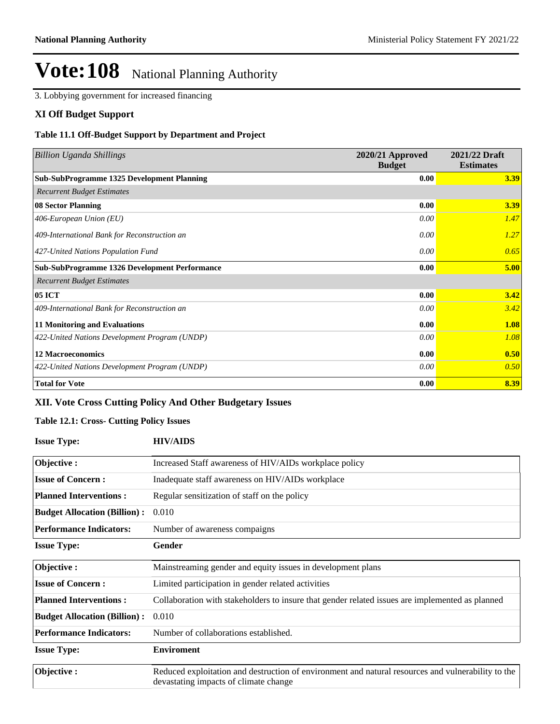3. Lobbying government for increased financing

#### **XI Off Budget Support**

#### **Table 11.1 Off-Budget Support by Department and Project**

| <b>Billion Uganda Shillings</b>                      | 2020/21 Approved<br><b>Budget</b> | 2021/22 Draft<br><b>Estimates</b> |
|------------------------------------------------------|-----------------------------------|-----------------------------------|
| <b>Sub-SubProgramme 1325 Development Planning</b>    | 0.00                              | 3.39                              |
| <b>Recurrent Budget Estimates</b>                    |                                   |                                   |
| 08 Sector Planning                                   | 0.00                              | 3.39                              |
| 406-European Union (EU)                              | 0.00                              | 1.47                              |
| 409-International Bank for Reconstruction an         | 0.00                              | 1.27                              |
| 427-United Nations Population Fund                   | 0.00                              | 0.65                              |
| <b>Sub-SubProgramme 1326 Development Performance</b> | 0.00                              | 5.00                              |
| <b>Recurrent Budget Estimates</b>                    |                                   |                                   |
| <b>05 ICT</b>                                        | 0.00                              | 3.42                              |
| 409-International Bank for Reconstruction an         | 0.00                              | 3.42                              |
| <b>11 Monitoring and Evaluations</b>                 | 0.00                              | 1.08                              |
| 422-United Nations Development Program (UNDP)        | 0.00                              | 1.08                              |
| <b>12 Macroeconomics</b>                             | 0.00                              | 0.50                              |
| 422-United Nations Development Program (UNDP)        | 0.00                              | 0.50                              |
| <b>Total for Vote</b>                                | 0.00                              | 8.39                              |

## **XII. Vote Cross Cutting Policy And Other Budgetary Issues**

#### **Table 12.1: Cross- Cutting Policy Issues**

| <b>Issue Type:</b>                  | <b>HIV/AIDS</b>                                                                                                                             |
|-------------------------------------|---------------------------------------------------------------------------------------------------------------------------------------------|
| Objective:                          | Increased Staff awareness of HIV/AIDs workplace policy                                                                                      |
| <b>Issue of Concern:</b>            | Inadequate staff awareness on HIV/AIDs workplace                                                                                            |
| <b>Planned Interventions:</b>       | Regular sensitization of staff on the policy                                                                                                |
| <b>Budget Allocation (Billion):</b> | 0.010                                                                                                                                       |
| <b>Performance Indicators:</b>      | Number of awareness compaigns                                                                                                               |
| <b>Issue Type:</b>                  | Gender                                                                                                                                      |
| Objective:                          | Mainstreaming gender and equity issues in development plans                                                                                 |
| <b>Issue of Concern:</b>            | Limited participation in gender related activities                                                                                          |
| <b>Planned Interventions:</b>       | Collaboration with stakeholders to insure that gender related issues are implemented as planned                                             |
| <b>Budget Allocation (Billion):</b> | 0.010                                                                                                                                       |
| <b>Performance Indicators:</b>      | Number of collaborations established.                                                                                                       |
| <b>Issue Type:</b>                  | <b>Enviroment</b>                                                                                                                           |
| Objective:                          | Reduced exploitation and destruction of environment and natural resources and vulnerability to the<br>devastating impacts of climate change |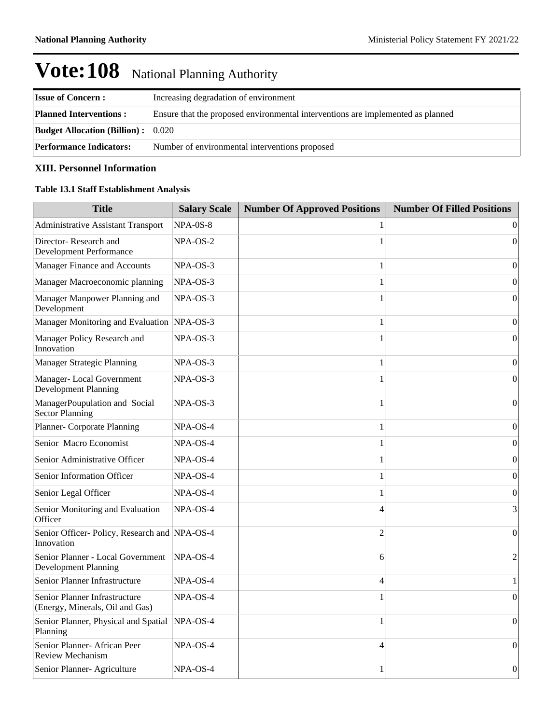| <b>Issue of Concern:</b>                  | Increasing degradation of environment                                           |
|-------------------------------------------|---------------------------------------------------------------------------------|
| <b>Planned Interventions:</b>             | Ensure that the proposed environmental interventions are implemented as planned |
| <b>Budget Allocation (Billion):</b> 0.020 |                                                                                 |
| <b>Performance Indicators:</b>            | Number of environmental interventions proposed                                  |

### **XIII. Personnel Information**

### **Table 13.1 Staff Establishment Analysis**

| <b>Title</b>                                                     | <b>Salary Scale</b> | <b>Number Of Approved Positions</b> | <b>Number Of Filled Positions</b> |
|------------------------------------------------------------------|---------------------|-------------------------------------|-----------------------------------|
| <b>Administrative Assistant Transport</b>                        | <b>NPA-0S-8</b>     |                                     | $\theta$                          |
| Director-Research and<br>Development Performance                 | NPA-OS-2            | 1                                   | $\theta$                          |
| Manager Finance and Accounts                                     | NPA-OS-3            | 1                                   | 0                                 |
| Manager Macroeconomic planning                                   | NPA-OS-3            | 1                                   | $\boldsymbol{0}$                  |
| Manager Manpower Planning and<br>Development                     | NPA-OS-3            | 1                                   | $\overline{0}$                    |
| Manager Monitoring and Evaluation                                | $NPA-OS-3$          | 1                                   | 0                                 |
| Manager Policy Research and<br>Innovation                        | NPA-OS-3            | 1                                   | $\boldsymbol{0}$                  |
| <b>Manager Strategic Planning</b>                                | NPA-OS-3            | 1                                   | $\overline{0}$                    |
| Manager-Local Government<br>Development Planning                 | NPA-OS-3            | 1                                   | $\boldsymbol{0}$                  |
| ManagerPoupulation and Social<br><b>Sector Planning</b>          | NPA-OS-3            | 1                                   | $\overline{0}$                    |
| Planner- Corporate Planning                                      | NPA-OS-4            | 1                                   | $\mathbf{0}$                      |
| Senior Macro Economist                                           | NPA-OS-4            | 1                                   | $\boldsymbol{0}$                  |
| Senior Administrative Officer                                    | $NPA$ -OS-4         | 1                                   | $\boldsymbol{0}$                  |
| Senior Information Officer                                       | NPA-OS-4            | 1                                   | 0                                 |
| Senior Legal Officer                                             | NPA-OS-4            | 1                                   | 0                                 |
| Senior Monitoring and Evaluation<br>Officer                      | NPA-OS-4            | $\overline{4}$                      | 3                                 |
| Senior Officer-Policy, Research and NPA-OS-4<br>Innovation       |                     | $\overline{2}$                      | $\overline{0}$                    |
| Senior Planner - Local Government<br><b>Development Planning</b> | NPA-OS-4            | 6                                   | $\overline{2}$                    |
| Senior Planner Infrastructure                                    | NPA-OS-4            | $\overline{4}$                      | 1                                 |
| Senior Planner Infrastructure<br>(Energy, Minerals, Oil and Gas) | $NPA$ -OS-4         | 1                                   | $\theta$                          |
| Senior Planner, Physical and Spatial<br>Planning                 | NPA-OS-4            | 1                                   | $\overline{0}$                    |
| Senior Planner- African Peer<br><b>Review Mechanism</b>          | NPA-OS-4            | 4                                   | $\boldsymbol{0}$                  |
| Senior Planner- Agriculture                                      | NPA-OS-4            | 1                                   | $\boldsymbol{0}$                  |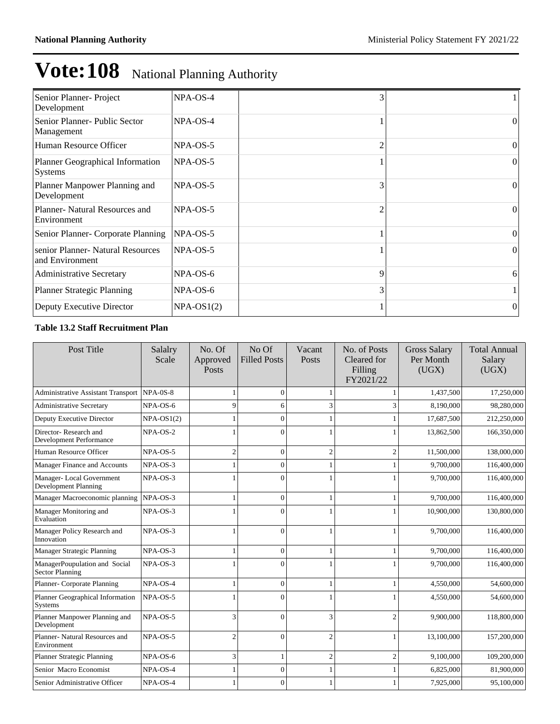| Senior Planner- Project<br>Development               | NPA-OS-4     | 3              |          |
|------------------------------------------------------|--------------|----------------|----------|
| Senior Planner- Public Sector<br>Management          | $NPA$ -OS-4  |                | $\Omega$ |
| Human Resource Officer                               | $NPA$ -OS-5  | $\mathfrak{D}$ | $\Omega$ |
| Planner Geographical Information<br><b>Systems</b>   | $NPA$ -OS-5  |                | $\Omega$ |
| Planner Manpower Planning and<br>Development         | NPA-OS-5     | 3              | $\Omega$ |
| Planner- Natural Resources and<br>Environment        | $NPA$ -OS-5  | $\mathfrak{D}$ | $\Omega$ |
| Senior Planner- Corporate Planning                   | $NPA$ -OS-5  |                | $\Omega$ |
| senior Planner- Natural Resources<br>and Environment | $NPA$ -OS-5  |                | $\Omega$ |
| <b>Administrative Secretary</b>                      | $NPA$ -OS-6  | 9              | 6        |
| <b>Planner Strategic Planning</b>                    | $NPA$ -OS-6  | 3              |          |
| Deputy Executive Director                            | $NPA-OS1(2)$ |                | $\theta$ |

## **Table 13.2 Staff Recruitment Plan**

| Post Title                                       | Salalry<br>Scale | No. Of<br>Approved<br>Posts | No Of<br><b>Filled Posts</b> | Vacant<br><b>Posts</b> | No. of Posts<br>Cleared for<br>Filling<br>FY2021/22 | <b>Gross Salary</b><br>Per Month<br>(UGX) | <b>Total Annual</b><br>Salary<br>(UGX) |
|--------------------------------------------------|------------------|-----------------------------|------------------------------|------------------------|-----------------------------------------------------|-------------------------------------------|----------------------------------------|
| <b>Administrative Assistant Transport</b>        | $NPA-0S-8$       |                             | $\Omega$                     |                        |                                                     | 1,437,500                                 | 17,250,000                             |
| <b>Administrative Secretary</b>                  | NPA-OS-6         | 9                           | 6                            | 3                      | 3                                                   | 8,190,000                                 | 98,280,000                             |
| Deputy Executive Director                        | $NPA-OS1(2)$     |                             | $\Omega$                     |                        |                                                     | 17,687,500                                | 212,250,000                            |
| Director-Research and<br>Development Performance | NPA-OS-2         |                             | $\Omega$                     |                        |                                                     | 13,862,500                                | 166,350,000                            |
| Human Resource Officer                           | NPA-OS-5         | $\overline{2}$              | $\theta$                     | $\overline{c}$         | $\overline{2}$                                      | 11,500,000                                | 138,000,000                            |
| Manager Finance and Accounts                     | NPA-OS-3         |                             | $\Omega$                     |                        |                                                     | 9,700,000                                 | 116,400,000                            |
| Manager-Local Government<br>Development Planning | NPA-OS-3         |                             | $\Omega$                     |                        |                                                     | 9,700,000                                 | 116,400,000                            |
| Manager Macroeconomic planning                   | NPA-OS-3         |                             | $\overline{0}$               |                        |                                                     | 9,700,000                                 | 116,400,000                            |
| Manager Monitoring and<br>Evaluation             | NPA-OS-3         |                             | $\Omega$                     |                        |                                                     | 10,900,000                                | 130,800,000                            |
| Manager Policy Research and<br>Innovation        | NPA-OS-3         | 1                           | $\Omega$                     |                        |                                                     | 9,700,000                                 | 116,400,000                            |
| Manager Strategic Planning                       | NPA-OS-3         | 1                           | $\mathbf{0}$                 |                        |                                                     | 9,700,000                                 | 116,400,000                            |
| ManagerPoupulation and Social<br>Sector Planning | NPA-OS-3         |                             | $\Omega$                     |                        |                                                     | 9,700,000                                 | 116,400,000                            |
| Planner- Corporate Planning                      | NPA-OS-4         | 1                           | $\mathbf{0}$                 | 1                      |                                                     | 4,550,000                                 | 54,600,000                             |
| Planner Geographical Information<br>Systems      | NPA-OS-5         | 1                           | $\Omega$                     |                        |                                                     | 4,550,000                                 | 54,600,000                             |
| Planner Manpower Planning and<br>Development     | NPA-OS-5         | 3                           | $\Omega$                     | 3                      | $\mathfrak{D}$                                      | 9,900,000                                 | 118,800,000                            |
| Planner- Natural Resources and<br>Environment    | NPA-OS-5         | $\overline{c}$              | $\Omega$                     | $\overline{c}$         |                                                     | 13,100,000                                | 157,200,000                            |
| Planner Strategic Planning                       | NPA-OS-6         | 3                           |                              | $\overline{2}$         | $\overline{2}$                                      | 9,100,000                                 | 109,200,000                            |
| Senior Macro Economist                           | NPA-OS-4         |                             | $\Omega$                     |                        |                                                     | 6,825,000                                 | 81,900,000                             |
| Senior Administrative Officer                    | NPA-OS-4         |                             | $\Omega$                     |                        |                                                     | 7,925,000                                 | 95,100,000                             |